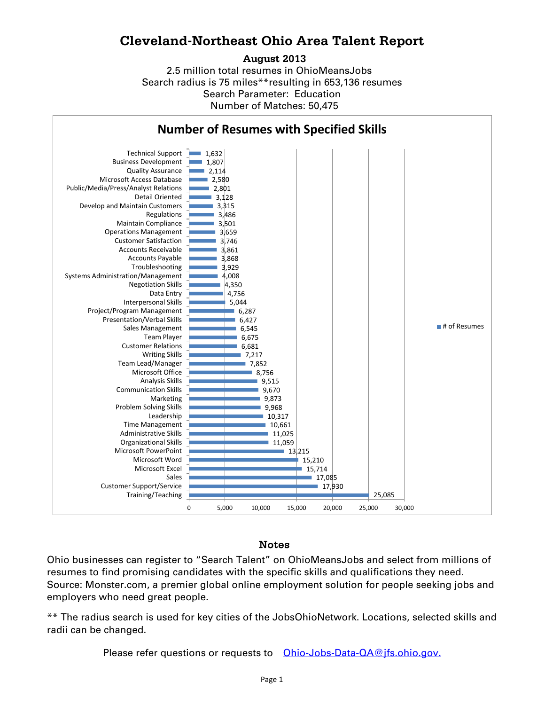## **Cleveland-Northeast Ohio Area Talent Report**

## **August 2013**

2.5 million total resumes in OhioMeansJobs Search radius is 75 miles\*\*resulting in 653,136 resumes Number of Matches: 50,475 Search Parameter: Education



## Notes

Ohio businesses can register to "Search Talent" on OhioMeansJobs and select from millions of resumes to find promising candidates with the specific skills and qualifications they need. Source: Monster.com, a premier global online employment solution for people seeking jobs and employers who need great people.

\*\* The radius search is used for key cities of the JobsOhioNetwork. Locations, selected skills and radii can be changed.

Please refer questions or requests to [Ohio-Jobs-Data-QA@jfs.ohio.gov.](mailto:Ohio-Jobs-Data-QA@jfs.ohio.gov.)